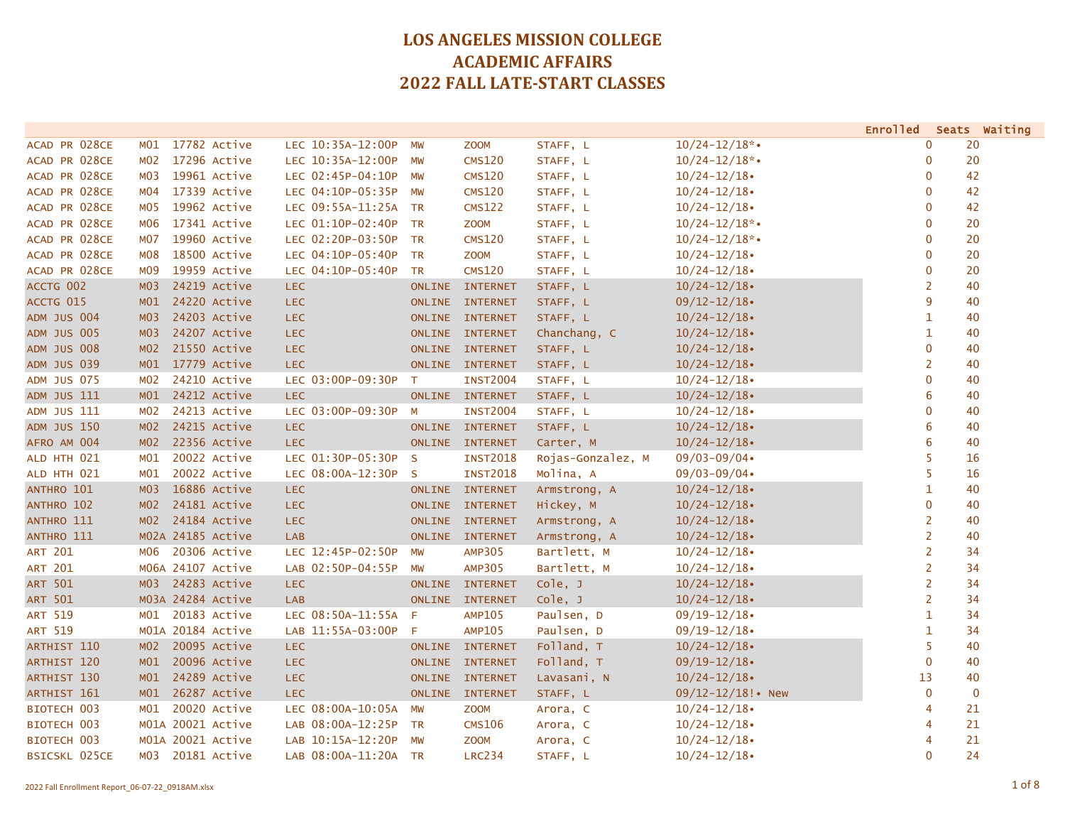|                    |                 |                   |                      |              |                 |                   |                    | Enrolled Seats Waiting |    |
|--------------------|-----------------|-------------------|----------------------|--------------|-----------------|-------------------|--------------------|------------------------|----|
| ACAD PR 028CE      | MO1             | 17782 Active      | LEC 10:35A-12:00P    | MW           | <b>ZOOM</b>     | STAFF, L          | $10/24 - 12/18$ *• | 0                      | 20 |
| ACAD PR 028CE      | M02             | 17296 Active      | LEC 10:35A-12:00P    | <b>MW</b>    | <b>CMS120</b>   | STAFF, L          | $10/24 - 12/18$ *• | $\mathbf 0$            | 20 |
| ACAD PR 028CE      | M03             | 19961 Active      | LEC 02:45P-04:10P    | MW           | <b>CMS120</b>   | STAFF, L          | $10/24 - 12/18$    | $\mathbf 0$            | 42 |
| ACAD PR 028CE      | M04             | 17339 Active      | LEC 04:10P-05:35P    | MW           | <b>CMS120</b>   | STAFF, L          | $10/24 - 12/18$    | $\mathbf 0$            | 42 |
| ACAD PR 028CE      | M05             | 19962 Active      | LEC 09:55A-11:25A    | TR           | <b>CMS122</b>   | STAFF, L          | $10/24 - 12/18$    | $\mathbf 0$            | 42 |
| ACAD PR 028CE      | M06             | 17341 Active      | LEC 01:10P-02:40P    | <b>TR</b>    | <b>ZOOM</b>     | STAFF, L          | $10/24 - 12/18$ *• | $\mathbf 0$            | 20 |
| ACAD PR 028CE      | M07             | 19960 Active      | LEC 02:20P-03:50P    | TR           | <b>CMS120</b>   | STAFF, L          | $10/24 - 12/18$ *• | $\mathbf 0$            | 20 |
| ACAD PR 028CE      | M08             | 18500 Active      | LEC 04:10P-05:40P    | TR           | <b>ZOOM</b>     | STAFF, L          | $10/24 - 12/18$    | $\mathbf 0$            | 20 |
| ACAD PR 028CE      | MO9             | 19959 Active      | LEC 04:10P-05:40P    | <b>TR</b>    | <b>CMS120</b>   | STAFF, L          | $10/24 - 12/18$    | $\mathbf 0$            | 20 |
| ACCTG 002          | MO3             | 24219 Active      | <b>LEC</b>           |              | ONLINE INTERNET | STAFF, L          | $10/24 - 12/18$    | $\overline{2}$         | 40 |
| ACCTG 015          | M <sub>01</sub> | 24220 Active      | <b>LEC</b>           |              | ONLINE INTERNET | STAFF, L          | $09/12 - 12/18$    | 9                      | 40 |
| <b>ADM JUS 004</b> | MO3             | 24203 Active      | <b>LEC</b>           |              | ONLINE INTERNET | STAFF, L          | $10/24 - 12/18$    | $\mathbf{1}$           | 40 |
| <b>ADM JUS 005</b> | M03             | 24207 Active      | <b>LEC</b>           |              | ONLINE INTERNET | Chanchang, C      | $10/24 - 12/18$    | 1                      | 40 |
| <b>ADM JUS 008</b> | MO2             | 21550 Active      | <b>LEC</b>           |              | ONLINE INTERNET | STAFF, L          | $10/24 - 12/18$    | $\mathbf 0$            | 40 |
| ADM JUS 039        | M01             | 17779 Active      | <b>LEC</b>           |              | ONLINE INTERNET | STAFF, L          | $10/24 - 12/18$    | $\overline{2}$         | 40 |
| <b>ADM JUS 075</b> | M02             | 24210 Active      | LEC 03:00P-09:30P    | T            | <b>INST2004</b> | STAFF, L          | $10/24 - 12/18$    | $\mathbf 0$            | 40 |
| ADM JUS 111        | M <sub>01</sub> | 24212 Active      | <b>LEC</b>           |              | ONLINE INTERNET | STAFF, L          | $10/24 - 12/18$    | 6                      | 40 |
| ADM JUS 111        | M02             | 24213 Active      | LEC 03:00P-09:30P    | M            | <b>INST2004</b> | STAFF, L          | $10/24 - 12/18$    | $\mathbf 0$            | 40 |
| <b>ADM JUS 150</b> | MO2             | 24215 Active      | <b>LEC</b>           |              | ONLINE INTERNET | STAFF, L          | $10/24 - 12/18$    | 6                      | 40 |
| AFRO AM 004        | MO2             | 22356 Active      | LEC.                 |              | ONLINE INTERNET | Carter, M         | $10/24 - 12/18$    | 6                      | 40 |
| ALD HTH 021        | MO1             | 20022 Active      | LEC 01:30P-05:30P    | $\mathsf{S}$ | <b>INST2018</b> | Rojas-Gonzalez, M | $09/03 - 09/04$    | 5                      | 16 |
| ALD HTH 021        | M01             | 20022 Active      | LEC 08:00A-12:30P    | $\mathsf{S}$ | <b>INST2018</b> | Molina, A         | $09/03 - 09/04$    | 5                      | 16 |
| ANTHRO 101         | MO3             | 16886 Active      | <b>LEC</b>           |              | ONLINE INTERNET | Armstrong, A      | $10/24 - 12/18$    | 1                      | 40 |
| ANTHRO 102         | MO2             | 24181 Active      | <b>LEC</b>           |              | ONLINE INTERNET | Hickey, M         | $10/24 - 12/18$    | 0                      | 40 |
| ANTHRO 111         | M <sub>02</sub> | 24184 Active      | <b>LEC</b>           |              | ONLINE INTERNET | Armstrong, A      | $10/24 - 12/18$    | $\overline{2}$         | 40 |
| ANTHRO 111         |                 | M02A 24185 Active | <b>LAB</b>           |              | ONLINE INTERNET | Armstrong, A      | $10/24 - 12/18$    | $\overline{2}$         | 40 |
| <b>ART 201</b>     | M06             | 20306 Active      | LEC 12:45P-02:50P    | MW           | <b>AMP305</b>   | Bartlett, M       | $10/24 - 12/18$    | $\overline{2}$         | 34 |
| <b>ART 201</b>     |                 | M06A 24107 Active | LAB 02:50P-04:55P    | <b>MW</b>    | <b>AMP305</b>   | Bartlett, M       | $10/24 - 12/18$    | $\overline{2}$         | 34 |
| <b>ART 501</b>     | MO3             | 24283 Active      | <b>LEC</b>           |              | ONLINE INTERNET | cole, J           | $10/24 - 12/18$    | $\overline{2}$         | 34 |
| <b>ART 501</b>     |                 | M03A 24284 Active | <b>LAB</b>           |              | ONLINE INTERNET | Cole, J           | $10/24 - 12/18$    | $\overline{2}$         | 34 |
| <b>ART 519</b>     | MO1             | 20183 Active      | LEC 08:50A-11:55A F  |              | <b>AMP105</b>   | Paulsen, D        | $09/19 - 12/18$    | $\mathbf{1}$           | 34 |
| ART 519            |                 | M01A 20184 Active | LAB 11:55A-03:00P    | $-F$         | <b>AMP105</b>   | Paulsen, D        | $09/19 - 12/18$    | $\mathbf{1}$           | 34 |
| ARTHIST 110        | MO2             | 20095 Active      | <b>LEC</b>           |              | ONLINE INTERNET | Folland, T        | $10/24 - 12/18$    | 5                      | 40 |
| <b>ARTHIST 120</b> | M <sub>01</sub> | 20096 Active      | <b>LEC</b>           |              | ONLINE INTERNET | Folland, T        | $09/19 - 12/18$    | $\mathbf 0$            | 40 |
| ARTHIST 130        | M01             | 24289 Active      | <b>LEC</b>           |              | ONLINE INTERNET | Lavasani, N       | $10/24 - 12/18$    | 13                     | 40 |
| ARTHIST 161        | M01             | 26287 Active      | <b>LEC</b>           |              | ONLINE INTERNET | STAFF, L          | 09/12-12/18! • New | $\mathbf 0$            | 0  |
| BIOTECH 003        | MO1             | 20020 Active      | LEC 08:00A-10:05A    | MW           | <b>ZOOM</b>     | Arora, C          | $10/24 - 12/18$    | 4                      | 21 |
| BIOTECH 003        |                 | M01A 20021 Active | LAB 08:00A-12:25P    | TR           | <b>CMS106</b>   | Arora, C          | $10/24 - 12/18$    | 4                      | 21 |
| BIOTECH 003        |                 | M01A 20021 Active | LAB 10:15A-12:20P    | MW           | <b>ZOOM</b>     | Arora, C          | $10/24 - 12/18$    | 4                      | 21 |
| BSICSKL 025CE      | м03             | 20181 Active      | LAB 08:00A-11:20A TR |              | <b>LRC234</b>   | STAFF, L          | $10/24 - 12/18$    | $\mathbf{0}$           | 24 |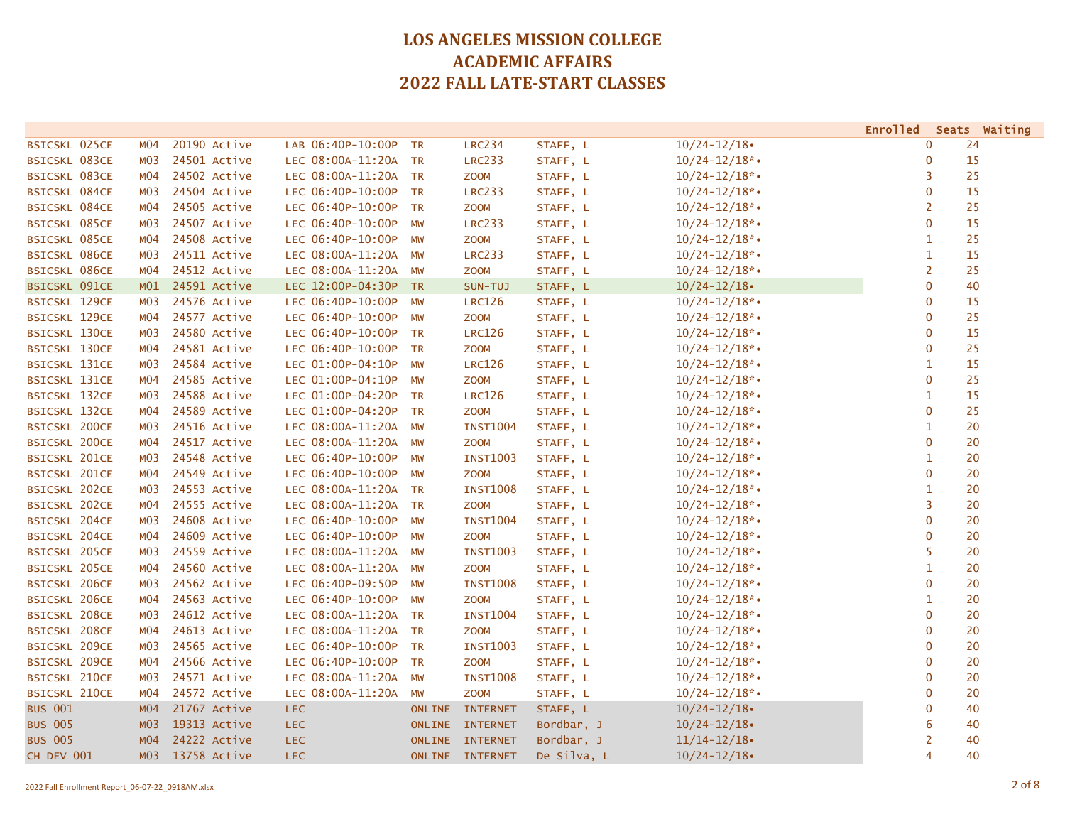|                      |                  |              |                      |               |                 |             |                    | <b>Enrolled</b> | Seats Waiting |
|----------------------|------------------|--------------|----------------------|---------------|-----------------|-------------|--------------------|-----------------|---------------|
| <b>BSICSKL 025CE</b> | MO4              | 20190 Active | LAB 06:40P-10:00P TR |               | <b>LRC234</b>   | STAFF, L    | $10/24 - 12/18$    | $\mathbf{0}$    | 24            |
| <b>BSICSKL 083CE</b> | M03              | 24501 Active | LEC 08:00A-11:20A TR |               | <b>LRC233</b>   | STAFF, L    | $10/24 - 12/18$ *• | $\mathbf 0$     | 15            |
| <b>BSICSKL 083CE</b> | MO4              | 24502 Active | LEC 08:00A-11:20A TR |               | <b>ZOOM</b>     | STAFF, L    | $10/24 - 12/18$ *• | 3               | 25            |
| <b>BSICSKL 084CE</b> | M03              | 24504 Active | LEC 06:40P-10:00P TR |               | <b>LRC233</b>   | STAFF, L    | $10/24 - 12/18$ *• | $\mathbf 0$     | 15            |
| <b>BSICSKL 084CE</b> | MO4              | 24505 Active | LEC 06:40P-10:00P    | <b>TR</b>     | <b>ZOOM</b>     | STAFF, L    | $10/24 - 12/18$ *• | 2               | 25            |
| <b>BSICSKL 085CE</b> | M03              | 24507 Active | LEC 06:40P-10:00P    | MW            | <b>LRC233</b>   | STAFF, L    | $10/24 - 12/18$ *• | $\mathbf 0$     | 15            |
| <b>BSICSKL 085CE</b> | MO4              | 24508 Active | LEC 06:40P-10:00P    | MW            | <b>ZOOM</b>     | STAFF, L    | $10/24 - 12/18$ *• | $\mathbf{1}$    | 25            |
| <b>BSICSKL 086CE</b> | MO3              | 24511 Active | LEC 08:00A-11:20A    | MW            | <b>LRC233</b>   | STAFF, L    | $10/24 - 12/18$ *• | $\mathbf{1}$    | 15            |
| <b>BSICSKL 086CE</b> | MO4              | 24512 Active | LEC 08:00A-11:20A    | MW            | <b>ZOOM</b>     | STAFF, L    | $10/24 - 12/18$ *• | 2               | 25            |
| <b>BSICSKL 091CE</b> | M01              | 24591 Active | LEC 12:00P-04:30P TR |               | SUN-TUJ         | STAFF, L    | $10/24 - 12/18$    | $\mathbf 0$     | 40            |
| <b>BSICSKL 129CE</b> | м03              | 24576 Active | LEC 06:40P-10:00P    | MW            | <b>LRC126</b>   | STAFF, L    | $10/24 - 12/18$ *• | $\mathbf 0$     | 15            |
| <b>BSICSKL 129CE</b> | M04              | 24577 Active | LEC 06:40P-10:00P    | <b>MW</b>     | <b>ZOOM</b>     | STAFF, L    | $10/24 - 12/18$ *• | $\mathbf{0}$    | 25            |
| <b>BSICSKL 130CE</b> | MO3              | 24580 Active | LEC 06:40P-10:00P    | <b>TR</b>     | <b>LRC126</b>   | STAFF, L    | $10/24 - 12/18$ *• | $\mathbf{0}$    | 15            |
| <b>BSICSKL 130CE</b> | MO4              | 24581 Active | LEC 06:40P-10:00P TR |               | <b>ZOOM</b>     | STAFF, L    | $10/24 - 12/18$ *• | $\mathbf{0}$    | 25            |
| <b>BSICSKL 131CE</b> | M03              | 24584 Active | LEC 01:00P-04:10P    | <b>MW</b>     | <b>LRC126</b>   | STAFF, L    | $10/24 - 12/18$ *• | $\mathbf{1}$    | 15            |
| <b>BSICSKL 131CE</b> | MO4              | 24585 Active | LEC 01:00P-04:10P    | <b>MW</b>     | <b>ZOOM</b>     | STAFF, L    | $10/24 - 12/18$ *• | $\mathbf{0}$    | 25            |
| <b>BSICSKL 132CE</b> | MO3              | 24588 Active | LEC 01:00P-04:20P    | <b>TR</b>     | <b>LRC126</b>   | STAFF, L    | $10/24 - 12/18$ *• | $\mathbf{1}$    | 15            |
| <b>BSICSKL 132CE</b> | MO4              | 24589 Active | LEC 01:00P-04:20P TR |               | <b>ZOOM</b>     | STAFF, L    | $10/24 - 12/18$ *• | $\mathbf{0}$    | 25            |
| <b>BSICSKL 200CE</b> | M03              | 24516 Active | LEC 08:00A-11:20A    | <b>MW</b>     | <b>INST1004</b> | STAFF, L    | $10/24 - 12/18$ *• | $\mathbf{1}$    | 20            |
| <b>BSICSKL 200CE</b> | MO4              | 24517 Active | LEC 08:00A-11:20A    | MW            | <b>ZOOM</b>     | STAFF, L    | $10/24 - 12/18$ *• | $\mathbf 0$     | 20            |
| <b>BSICSKL 201CE</b> | MO3              | 24548 Active | LEC 06:40P-10:00P    | MW            | <b>INST1003</b> | STAFF, L    | $10/24 - 12/18$ *• | $\mathbf{1}$    | 20            |
| <b>BSICSKL 201CE</b> | MO4              | 24549 Active | LEC 06:40P-10:00P    | MW            | <b>ZOOM</b>     | STAFF, L    | $10/24 - 12/18$ *• | $\mathbf 0$     | 20            |
| <b>BSICSKL 202CE</b> | M03              | 24553 Active | LEC 08:00A-11:20A TR |               | <b>INST1008</b> | STAFF, L    | $10/24 - 12/18$ *• | $\mathbf{1}$    | 20            |
| <b>BSICSKL 202CE</b> | MO4              | 24555 Active | LEC 08:00A-11:20A    | <b>TR</b>     | <b>ZOOM</b>     | STAFF, L    | $10/24 - 12/18$ *• | 3               | 20            |
| <b>BSICSKL 204CE</b> | M03              | 24608 Active | LEC 06:40P-10:00P    | MW            | <b>INST1004</b> | STAFF, L    | $10/24 - 12/18$ *• | $\overline{0}$  | 20            |
| <b>BSICSKL 204CE</b> | MO4              | 24609 Active | LEC 06:40P-10:00P    | MW            | <b>ZOOM</b>     | STAFF, L    | $10/24 - 12/18$ *• | $\mathbf 0$     | 20            |
| <b>BSICSKL 205CE</b> | MO3              | 24559 Active | LEC 08:00A-11:20A    | MW            | <b>INST1003</b> | STAFF, L    | $10/24 - 12/18$ *• | 5               | 20            |
| <b>BSICSKL 205CE</b> | MO4              | 24560 Active | LEC 08:00A-11:20A    | <b>MW</b>     | <b>ZOOM</b>     | STAFF, L    | $10/24 - 12/18$ *• | $\mathbf{1}$    | 20            |
| <b>BSICSKL 206CE</b> | MO3              | 24562 Active | LEC 06:40P-09:50P    | <b>MW</b>     | <b>INST1008</b> | STAFF, L    | $10/24 - 12/18$ *• | $\mathbf{0}$    | 20            |
| <b>BSICSKL 206CE</b> | MO4              | 24563 Active | LEC 06:40P-10:00P    | <b>MW</b>     | <b>ZOOM</b>     | STAFF, L    | $10/24 - 12/18$ *• | $\mathbf{1}$    | 20            |
| <b>BSICSKL 208CE</b> | MO3              | 24612 Active | LEC 08:00A-11:20A TR |               | <b>INST1004</b> | STAFF, L    | $10/24 - 12/18$ *• | $\mathbf{0}$    | 20            |
| <b>BSICSKL 208CE</b> | MO4              | 24613 Active | LEC 08:00A-11:20A TR |               | <b>ZOOM</b>     | STAFF, L    | $10/24 - 12/18$ *• | $\mathbf 0$     | 20            |
| <b>BSICSKL 209CE</b> | MO3              | 24565 Active | LEC 06:40P-10:00P    | <b>TR</b>     | <b>INST1003</b> | STAFF, L    | $10/24 - 12/18$ *• | $\mathbf 0$     | 20            |
| <b>BSICSKL 209CE</b> | MO4              | 24566 Active | LEC 06:40P-10:00P    | <b>TR</b>     | <b>ZOOM</b>     | STAFF, L    | $10/24 - 12/18$ *• | $\mathbf 0$     | 20            |
| <b>BSICSKL 210CE</b> | M03              | 24571 Active | LEC 08:00A-11:20A    | <b>MW</b>     | <b>INST1008</b> | STAFF, L    | $10/24 - 12/18$ *• | $\mathbf{0}$    | 20            |
| <b>BSICSKL 210CE</b> | MO4              | 24572 Active | LEC 08:00A-11:20A    | MW            | <b>ZOOM</b>     | STAFF, L    | $10/24 - 12/18$ *• | $\mathbf{0}$    | 20            |
| <b>BUS 001</b>       | MO4              | 21767 Active | <b>LEC</b>           | <b>ONLINE</b> | <b>INTERNET</b> | STAFF, L    | $10/24 - 12/18$    | $\mathbf 0$     | 40            |
| <b>BUS 005</b>       | M <sub>0</sub> 3 | 19313 Active | <b>LEC</b>           | <b>ONLINE</b> | <b>INTERNET</b> | Bordbar, J  | $10/24 - 12/18$    | 6               | 40            |
| <b>BUS 005</b>       | MO4              | 24222 Active | <b>LEC</b>           |               | ONLINE INTERNET | Bordbar, J  | $11/14 - 12/18$    | $\overline{2}$  | 40            |
| CH DEV 001           | MO3              | 13758 Active | <b>LEC</b>           |               | ONLINE INTERNET | De Silva, L | $10/24 - 12/18$    | 4               | 40            |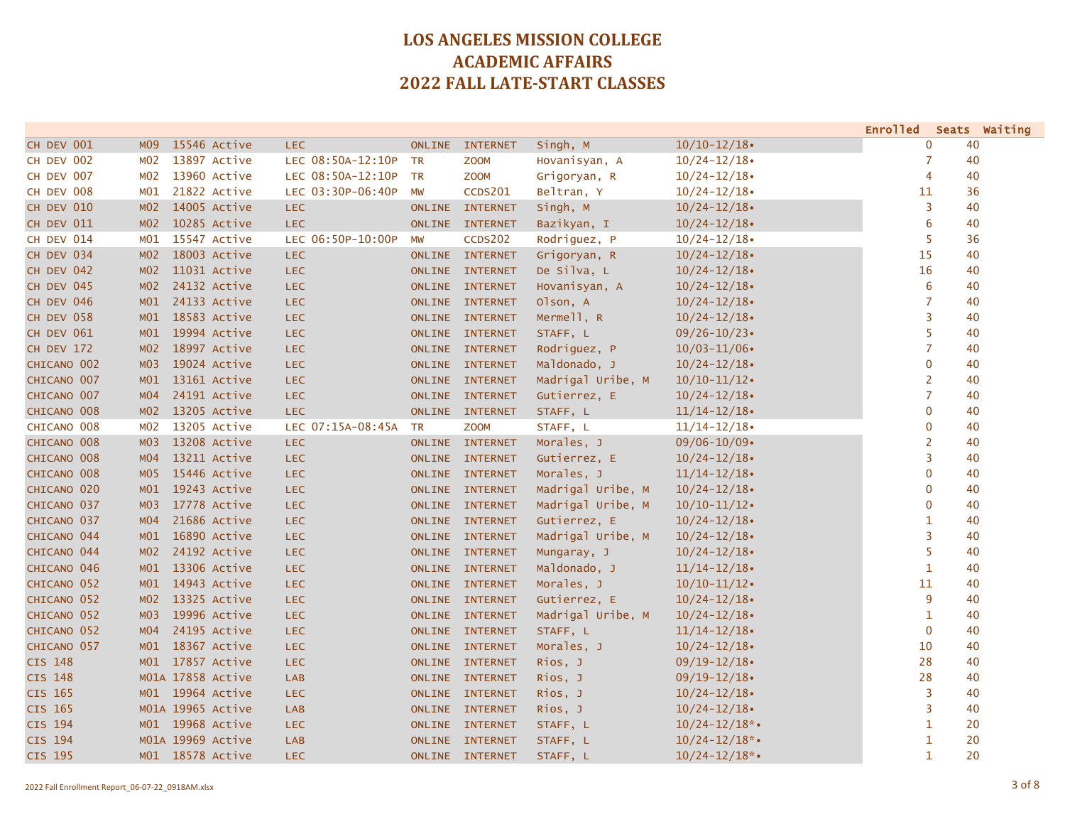|                |                 |                   |                   |               |                 |                   |                    | <b>Enrolled</b>  |    | Seats Waiting |
|----------------|-----------------|-------------------|-------------------|---------------|-----------------|-------------------|--------------------|------------------|----|---------------|
| CH DEV 001     | M <sub>09</sub> | 15546 Active      | LEC.              | <b>ONLINE</b> | <b>INTERNET</b> | Singh, M          | $10/10 - 12/18$    | $\mathbf 0$      | 40 |               |
| CH DEV 002     | MO2             | 13897 Active      | LEC 08:50A-12:10P | <b>TR</b>     | <b>ZOOM</b>     | Hovanisyan, A     | $10/24 - 12/18$    | 7                | 40 |               |
| CH DEV 007     | MO2             | 13960 Active      | LEC 08:50A-12:10P | <b>TR</b>     | <b>ZOOM</b>     | Grigoryan, R      | $10/24 - 12/18$    | $\overline{4}$   | 40 |               |
| CH DEV 008     | MO1             | 21822 Active      | LEC 03:30P-06:40P | MW            | <b>CCDS201</b>  | Beltran, Y        | $10/24 - 12/18$    | 11               | 36 |               |
| CH DEV 010     | MO2             | 14005 Active      | LEC.              |               | ONLINE INTERNET | Singh, M          | $10/24 - 12/18$    | 3                | 40 |               |
| CH DEV 011     | MO2             | 10285 Active      | LEC.              |               | ONLINE INTERNET | Bazikyan, I       | $10/24 - 12/18$    | $6\phantom{1}6$  | 40 |               |
| CH DEV 014     | MO1             | 15547 Active      | LEC 06:50P-10:00P | <b>MW</b>     | <b>CCDS202</b>  | Rodriguez, P      | $10/24 - 12/18$    | 5                | 36 |               |
| CH DEV 034     | MO2             | 18003 Active      | <b>LEC</b>        |               | ONLINE INTERNET | Grigoryan, R      | $10/24 - 12/18$    | 15               | 40 |               |
| CH DEV 042     | MO2             | 11031 Active      | <b>LEC</b>        |               | ONLINE INTERNET | De Silva, L       | $10/24 - 12/18$    | 16               | 40 |               |
| CH DEV 045     | MO2             | 24132 Active      | LEC.              |               | ONLINE INTERNET | Hovanisyan, A     | $10/24 - 12/18$    | $\boldsymbol{6}$ | 40 |               |
| CH DEV 046     | M <sub>01</sub> | 24133 Active      | <b>LEC</b>        |               | ONLINE INTERNET | Olson, A          | $10/24 - 12/18$    | $\overline{7}$   | 40 |               |
| CH DEV 058     | M <sub>01</sub> | 18583 Active      | LEC.              |               | ONLINE INTERNET | Mermell, R        | $10/24 - 12/18$    | $\overline{3}$   | 40 |               |
| CH DEV 061     | M <sub>01</sub> | 19994 Active      | LEC.              |               | ONLINE INTERNET | STAFF, L          | $09/26 - 10/23$    | 5                | 40 |               |
| CH DEV 172     | MO2             | 18997 Active      | LEC.              |               | ONLINE INTERNET | Rodriguez, P      | $10/03 - 11/06$    | $\overline{7}$   | 40 |               |
| CHICANO 002    | M03             | 19024 Active      | LEC.              |               | ONLINE INTERNET | Maldonado, J      | $10/24 - 12/18$    | $\mathbf 0$      | 40 |               |
| CHICANO 007    | M01             | 13161 Active      | LEC.              |               | ONLINE INTERNET | Madrigal Uribe, M | $10/10 - 11/12$    | $\overline{2}$   | 40 |               |
| CHICANO 007    | MO4             | 24191 Active      | LEC.              |               | ONLINE INTERNET | Gutierrez, E      | $10/24 - 12/18$    | $\overline{7}$   | 40 |               |
| CHICANO 008    | MO2             | 13205 Active      | LEC.              |               | ONLINE INTERNET | STAFF, L          | $11/14 - 12/18$    | $\mathbf{0}$     | 40 |               |
| CHICANO 008    | M02             | 13205 Active      | LEC 07:15A-08:45A | <b>TR</b>     | <b>ZOOM</b>     | STAFF, L          | $11/14 - 12/18$    | $\mathbf{0}$     | 40 |               |
| CHICANO 008    | MO3             | 13208 Active      | <b>LEC</b>        |               | ONLINE INTERNET | Morales, J        | $09/06 - 10/09$    | $\overline{2}$   | 40 |               |
| CHICANO 008    | MO4             | 13211 Active      | LEC.              |               | ONLINE INTERNET | Gutierrez, E      | $10/24 - 12/18$    | 3                | 40 |               |
| CHICANO 008    | MOS             | 15446 Active      | <b>LEC</b>        |               | ONLINE INTERNET | Morales, J        | $11/14 - 12/18$    | $\mathbf 0$      | 40 |               |
| CHICANO 020    | M <sub>01</sub> | 19243 Active      | <b>LEC</b>        |               | ONLINE INTERNET | Madrigal Uribe, M | $10/24 - 12/18$    | $\mathbf{0}$     | 40 |               |
| CHICANO 037    | MO3             | 17778 Active      | LEC.              |               | ONLINE INTERNET | Madrigal Uribe, M | $10/10 - 11/12$    | $\pmb{0}$        | 40 |               |
| CHICANO 037    | MO4             | 21686 Active      | LEC.              |               | ONLINE INTERNET | Gutierrez, E      | $10/24 - 12/18$    | $\mathbf 1$      | 40 |               |
| CHICANO 044    | M <sub>01</sub> | 16890 Active      | <b>LEC</b>        |               | ONLINE INTERNET | Madrigal Uribe, M | $10/24 - 12/18$    | 3                | 40 |               |
| CHICANO 044    | MO2             | 24192 Active      | LEC.              |               | ONLINE INTERNET | Mungaray, J       | $10/24 - 12/18$    | 5                | 40 |               |
| CHICANO 046    | M01             | 13306 Active      | LEC.              |               | ONLINE INTERNET | Maldonado, J      | $11/14 - 12/18$    | $\mathbf{1}$     | 40 |               |
| CHICANO 052    | M01             | 14943 Active      | LEC.              |               | ONLINE INTERNET | Morales, J        | $10/10 - 11/12$    | 11               | 40 |               |
| CHICANO 052    | MO2             | 13325 Active      | LEC.              |               | ONLINE INTERNET | Gutierrez, E      | $10/24 - 12/18$    | 9                | 40 |               |
| CHICANO 052    | MO3             | 19996 Active      | LEC.              |               | ONLINE INTERNET | Madrigal Uribe, M | $10/24 - 12/18$    | $\mathbf{1}$     | 40 |               |
| CHICANO 052    | MO4             | 24195 Active      | LEC.              |               | ONLINE INTERNET | STAFF, L          | $11/14 - 12/18$    | $\mathbf 0$      | 40 |               |
| CHICANO 057    | M01             | 18367 Active      | LEC.              |               | ONLINE INTERNET | Morales, J        | $10/24 - 12/18$    | 10               | 40 |               |
| <b>CIS 148</b> | M01             | 17857 Active      | <b>LEC</b>        |               | ONLINE INTERNET | Rios, J           | $09/19 - 12/18$    | 28               | 40 |               |
| CIS 148        |                 | M01A 17858 Active | <b>LAB</b>        |               | ONLINE INTERNET | Rios, J           | $09/19 - 12/18$    | 28               | 40 |               |
| CIS 165        |                 | M01 19964 Active  | LEC.              |               | ONLINE INTERNET | Rios, J           | $10/24 - 12/18$    | 3                | 40 |               |
| CIS 165        |                 | M01A 19965 Active | <b>LAB</b>        |               | ONLINE INTERNET | Rios, J           | $10/24 - 12/18$    | 3                | 40 |               |
| CIS 194        |                 | M01 19968 Active  | LEC.              |               | ONLINE INTERNET | STAFF, L          | $10/24 - 12/18$ *• | $\mathbf{1}$     | 20 |               |
| CIS 194        |                 | M01A 19969 Active | <b>LAB</b>        |               | ONLINE INTERNET | STAFF, L          | $10/24 - 12/18$ *• | $\mathbf{1}$     | 20 |               |
| CIS 195        |                 | M01 18578 Active  | LEC.              |               | ONLINE INTERNET | STAFF, L          | $10/24 - 12/18$ *• | 1                | 20 |               |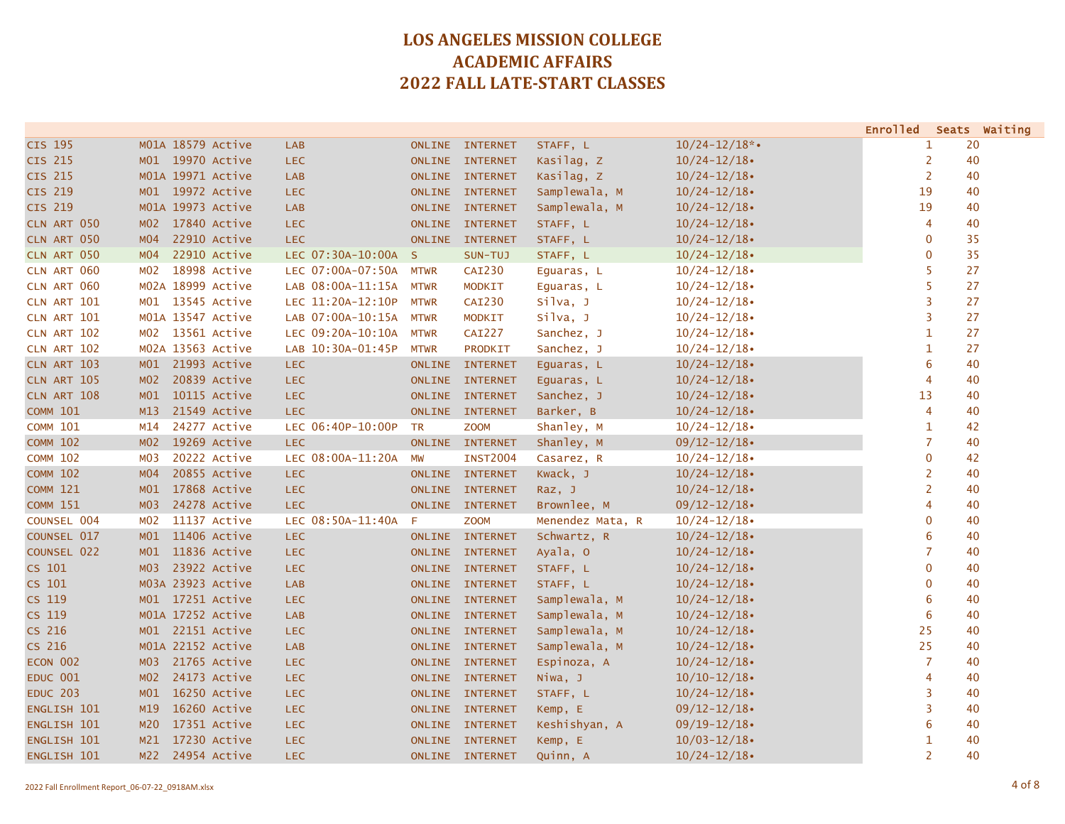|                    |                 |                   |                     |               |                 |                  |                    | Enrolled Seats Waiting |    |    |
|--------------------|-----------------|-------------------|---------------------|---------------|-----------------|------------------|--------------------|------------------------|----|----|
| CIS 195            |                 | M01A 18579 Active | <b>LAB</b>          |               | ONLINE INTERNET | STAFF, L         | $10/24 - 12/18$ *• | 1                      | 20 |    |
| <b>CIS 215</b>     |                 | M01 19970 Active  | <b>LEC</b>          |               | ONLINE INTERNET | Kasilag, Z       | $10/24 - 12/18$    | $\overline{2}$         | 40 |    |
| CIS 215            |                 | M01A 19971 Active | <b>LAB</b>          |               | ONLINE INTERNET | Kasilag, Z       | $10/24 - 12/18$    | $\overline{2}$         | 40 |    |
| CIS 219            |                 | M01 19972 Active  | <b>LEC</b>          |               | ONLINE INTERNET | Samplewala, M    | $10/24 - 12/18$    | 19                     | 40 |    |
| <b>CIS 219</b>     |                 | M01A 19973 Active | <b>LAB</b>          |               | ONLINE INTERNET | Samplewala, M    | $10/24 - 12/18$    | 19                     |    | 40 |
| CLN ART 050        | MO2             | 17840 Active      | <b>LEC</b>          |               | ONLINE INTERNET | STAFF, L         | $10/24 - 12/18$    | $\overline{4}$         | 40 |    |
| CLN ART 050        | MO4             | 22910 Active      | <b>LEC</b>          |               | ONLINE INTERNET | STAFF, L         | $10/24 - 12/18$    | $\mathbf 0$            |    | 35 |
| CLN ART 050        | MO4             | 22910 Active      | LEC 07:30A-10:00A S |               | SUN-TUJ         | STAFF, L         | $10/24 - 12/18$    | $\mathbf{0}$           |    | 35 |
| CLN ART 060        | MO2             | 18998 Active      | LEC 07:00A-07:50A   | <b>MTWR</b>   | <b>CAI230</b>   | Equaras, L       | $10/24 - 12/18$    | 5                      | 27 |    |
| CLN ART 060        |                 | M02A 18999 Active | LAB 08:00A-11:15A   | <b>MTWR</b>   | <b>MODKIT</b>   | Equaras, L       | $10/24 - 12/18$    | 5                      | 27 |    |
| CLN ART 101        | MO1             | 13545 Active      | LEC 11:20A-12:10P   | <b>MTWR</b>   | <b>CAI230</b>   | silva, J         | $10/24 - 12/18$    | 3                      | 27 |    |
| CLN ART 101        |                 | M01A 13547 Active | LAB 07:00A-10:15A   | <b>MTWR</b>   | <b>MODKIT</b>   | silva, J         | $10/24 - 12/18$    | 3                      | 27 |    |
| CLN ART 102        |                 | M02 13561 Active  | LEC 09:20A-10:10A   | <b>MTWR</b>   | <b>CAI227</b>   | Sanchez, J       | $10/24 - 12/18$    | $\mathbf{1}$           | 27 |    |
| CLN ART 102        |                 | M02A 13563 Active | LAB 10:30A-01:45P   | <b>MTWR</b>   | PRODKIT         | Sanchez, J       | $10/24 - 12/18$    | $\mathbf{1}$           | 27 |    |
| CLN ART 103        | M01             | 21993 Active      | <b>LEC</b>          | <b>ONLINE</b> | <b>INTERNET</b> | Equaras, L       | $10/24 - 12/18$    | 6                      | 40 |    |
| <b>CLN ART 105</b> | MO2             | 20839 Active      | <b>LEC</b>          |               | ONLINE INTERNET | Equaras, L       | $10/24 - 12/18$    | 4                      | 40 |    |
| CLN ART 108        | M <sub>01</sub> | 10115 Active      | <b>LEC</b>          |               | ONLINE INTERNET | Sanchez, J       | $10/24 - 12/18$    | 13                     | 40 |    |
| <b>COMM 101</b>    | M13             | 21549 Active      | <b>LEC</b>          |               | ONLINE INTERNET | Barker, B        | $10/24 - 12/18$    | $\overline{4}$         | 40 |    |
| <b>COMM 101</b>    | M14             | 24277 Active      | LEC 06:40P-10:00P   | <b>TR</b>     | <b>ZOOM</b>     | Shanley, M       | $10/24 - 12/18$    | $\mathbf{1}$           | 42 |    |
| <b>COMM 102</b>    |                 | M02 19269 Active  | <b>LEC</b>          |               | ONLINE INTERNET | Shanley, M       | $09/12 - 12/18$    | 7                      | 40 |    |
| <b>COMM 102</b>    | M03             | 20222 Active      | LEC 08:00A-11:20A   | <b>MW</b>     | <b>INST2004</b> | Casarez, R       | $10/24 - 12/18$    | $\overline{0}$         | 42 |    |
| <b>COMM 102</b>    | MO4             | 20855 Active      | <b>LEC</b>          |               | ONLINE INTERNET | Kwack, J         | $10/24 - 12/18$    | $\overline{2}$         | 40 |    |
| <b>COMM 121</b>    | M01             | 17868 Active      | <b>LEC</b>          |               | ONLINE INTERNET | Raz, J           | $10/24 - 12/18$    | $\overline{2}$         | 40 |    |
| <b>COMM 151</b>    | MO3             | 24278 Active      | <b>LEC</b>          |               | ONLINE INTERNET | Brownlee, M      | $09/12 - 12/18$    | 4                      | 40 |    |
| COUNSEL 004        | M02             | 11137 Active      | LEC 08:50A-11:40A   | -F            | <b>ZOOM</b>     | Menendez Mata, R | $10/24 - 12/18$    | $\mathbf 0$            |    | 40 |
| COUNSEL 017        |                 | M01 11406 Active  | <b>LEC</b>          |               | ONLINE INTERNET | Schwartz, R      | $10/24 - 12/18$    | 6                      |    | 40 |
| COUNSEL 022        | M01             | 11836 Active      | <b>LEC</b>          |               | ONLINE INTERNET | Ayala, 0         | $10/24 - 12/18$    | $\overline{7}$         | 40 |    |
| CS 101             | MO3             | 23922 Active      | <b>LEC</b>          |               | ONLINE INTERNET | STAFF, L         | $10/24 - 12/18$    | $\mathbf{0}$           | 40 |    |
| CS 101             |                 | M03A 23923 Active | <b>LAB</b>          |               | ONLINE INTERNET | STAFF, L         | $10/24 - 12/18$    | $\mathbf{0}$           |    | 40 |
| CS 119             |                 | M01 17251 Active  | <b>LEC</b>          |               | ONLINE INTERNET | Samplewala, M    | $10/24 - 12/18$    | 6                      | 40 |    |
| CS 119             |                 | M01A 17252 Active | <b>LAB</b>          |               | ONLINE INTERNET | Samplewala, M    | $10/24 - 12/18$    | 6                      | 40 |    |
| CS 216             | M01             | 22151 Active      | <b>LEC</b>          |               | ONLINE INTERNET | Samplewala, M    | $10/24 - 12/18$    | 25                     | 40 |    |
| CS 216             |                 | M01A 22152 Active | <b>LAB</b>          |               | ONLINE INTERNET | Samplewala, M    | $10/24 - 12/18$    | 25                     | 40 |    |
| ECON 002           | MO3             | 21765 Active      | <b>LEC</b>          |               | ONLINE INTERNET | Espinoza, A      | $10/24 - 12/18$    | $\overline{7}$         | 40 |    |
| <b>EDUC 001</b>    | MO2             | 24173 Active      | <b>LEC</b>          |               | ONLINE INTERNET | Niwa, J          | $10/10 - 12/18$    | 4                      | 40 |    |
| <b>EDUC 203</b>    | M <sub>01</sub> | 16250 Active      | <b>LEC</b>          |               | ONLINE INTERNET | STAFF, L         | $10/24 - 12/18$    | 3                      |    | 40 |
| ENGLISH 101        | M19             | 16260 Active      | <b>LEC</b>          |               | ONLINE INTERNET | Kemp, E          | $09/12 - 12/18$    | 3                      |    | 40 |
| ENGLISH 101        | M20             | 17351 Active      | <b>LEC</b>          |               | ONLINE INTERNET | Keshishyan, A    | $09/19 - 12/18$    | 6                      | 40 |    |
| ENGLISH 101        | M21             | 17230 Active      | <b>LEC</b>          |               | ONLINE INTERNET | Kemp, E          | $10/03 - 12/18$    | 1                      | 40 |    |
| ENGLISH 101        |                 | M22 24954 Active  | <b>LEC</b>          |               | ONLINE INTERNET | Quinn, A         | $10/24 - 12/18$    | $\overline{2}$         |    | 40 |
|                    |                 |                   |                     |               |                 |                  |                    |                        |    |    |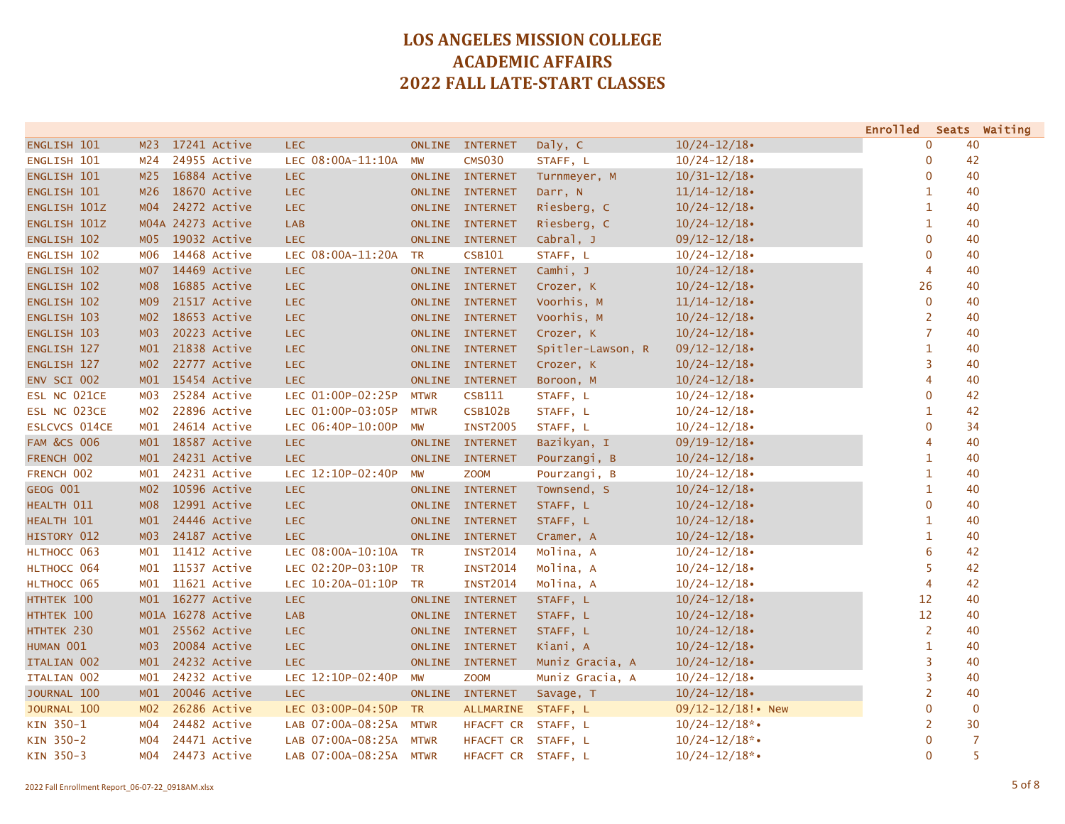|                        |                  |                   |                        |               |                    |                   |                        | <b>Enrolled</b> |    | Seats Waiting |
|------------------------|------------------|-------------------|------------------------|---------------|--------------------|-------------------|------------------------|-----------------|----|---------------|
| ENGLISH 101            | M <sub>23</sub>  | 17241 Active      | <b>LEC</b>             | <b>ONLINE</b> | <b>INTERNET</b>    | Daly, C           | $10/24 - 12/18$        | 0               | 40 |               |
| ENGLISH 101            | M24              | 24955 Active      | LEC 08:00A-11:10A      | MW            | <b>CMS030</b>      | STAFF, L          | $10/24 - 12/18$        | 0               | 42 |               |
| ENGLISH 101            | M <sub>25</sub>  | 16884 Active      | <b>LEC</b>             | <b>ONLINE</b> | <b>INTERNET</b>    | Turnmeyer, M      | $10/31 - 12/18$        | 0               | 40 |               |
| ENGLISH 101            | M26              | 18670 Active      | <b>LEC</b>             | <b>ONLINE</b> | <b>INTERNET</b>    | Darr, N           | $11/14 - 12/18$        | 1               | 40 |               |
| ENGLISH 101Z           | MO4              | 24272 Active      | <b>LEC</b>             | ONLINE        | <b>INTERNET</b>    | Riesberg, C       | $10/24 - 12/18$        | 1               | 40 |               |
| ENGLISH 101Z           |                  | M04A 24273 Active | <b>LAB</b>             | <b>ONLINE</b> | <b>INTERNET</b>    | Riesberg, C       | $10/24 - 12/18$        | $\mathbf{1}$    | 40 |               |
| ENGLISH 102            | M <sub>0</sub> 5 | 19032 Active      | <b>LEC</b>             |               | ONLINE INTERNET    | Cabral, J         | $09/12 - 12/18$        | $\mathbf 0$     | 40 |               |
| ENGLISH 102            | M06              | 14468 Active      | LEC 08:00A-11:20A      | <b>TR</b>     | <b>CSB101</b>      | STAFF, L          | $10/24 - 12/18$        | $\mathbf 0$     | 40 |               |
| ENGLISH 102            | M07              | 14469 Active      | <b>LEC</b>             | <b>ONLINE</b> | <b>INTERNET</b>    | Camhi, J          | $10/24 - 12/18$        | 4               | 40 |               |
| ENGLISH 102            | M08              | 16885 Active      | <b>LEC</b>             | <b>ONLINE</b> | <b>INTERNET</b>    | Crozer, K         | $10/24 - 12/18$        | 26              | 40 |               |
| ENGLISH 102            | M <sub>09</sub>  | 21517 Active      | <b>LEC</b>             | <b>ONLINE</b> | <b>INTERNET</b>    | Voorhis, M        | $11/14 - 12/18$        | $\mathbf 0$     | 40 |               |
| ENGLISH 103            | MO2              | 18653 Active      | <b>LEC</b>             |               | ONLINE INTERNET    | Voorhis, M        | $10/24 - 12/18$        | 2               | 40 |               |
| ENGLISH 103            | M <sub>0</sub> 3 | 20223 Active      | <b>LEC</b>             |               | ONLINE INTERNET    | Crozer, K         | $10/24 - 12/18$        | 7               | 40 |               |
| ENGLISH 127            | M <sub>01</sub>  | 21838 Active      | <b>LEC</b>             |               | ONLINE INTERNET    | Spitler-Lawson, R | $09/12 - 12/18$        | $\mathbf{1}$    | 40 |               |
| ENGLISH 127            | MO2              | 22777 Active      | <b>LEC</b>             | <b>ONLINE</b> | <b>INTERNET</b>    | Crozer, K         | $10/24 - 12/18$        | 3               | 40 |               |
| ENV SCI 002            |                  | M01 15454 Active  | <b>LEC</b>             | <b>ONLINE</b> | <b>INTERNET</b>    | Boroon, M         | $10/24 - 12/18$        | $\overline{4}$  | 40 |               |
| ESL NC 021CE           | MO3              | 25284 Active      | LEC 01:00P-02:25P      | <b>MTWR</b>   | <b>CSB111</b>      | STAFF, L          | $10/24 - 12/18$        | $\mathbf 0$     | 42 |               |
| ESL NC 023CE           | M <sub>0</sub> 2 | 22896 Active      | LEC 01:00P-03:05P      | <b>MTWR</b>   | <b>CSB102B</b>     | STAFF, L          | $10/24 - 12/18$        | 1               | 42 |               |
| <b>ESLCVCS 014CE</b>   | MO1              | 24614 Active      | LEC 06:40P-10:00P      | MW            | <b>INST2005</b>    | STAFF, L          | $10/24 - 12/18$        | $\mathbf 0$     | 34 |               |
| <b>FAM &amp;CS 006</b> |                  | M01 18587 Active  | <b>LEC</b>             | <b>ONLINE</b> | <b>INTERNET</b>    | Bazikyan, I       | $09/19 - 12/18$        | 4               | 40 |               |
| FRENCH 002             |                  | M01 24231 Active  | <b>LEC</b>             | <b>ONLINE</b> | <b>INTERNET</b>    | Pourzangi, B      | $10/24 - 12/18$        | 1               | 40 |               |
| FRENCH 002             | MO1              | 24231 Active      | LEC 12:10P-02:40P      | MW            | <b>ZOOM</b>        | Pourzangi, B      | $10/24 - 12/18$        | $\mathbf{1}$    | 40 |               |
| <b>GEOG 001</b>        | MO2              | 10596 Active      | <b>LEC</b>             | <b>ONLINE</b> | <b>INTERNET</b>    | Townsend, S       | $10/24 - 12/18$        | 1               | 40 |               |
| HEALTH 011             | <b>MO8</b>       | 12991 Active      | <b>LEC</b>             | <b>ONLINE</b> | <b>INTERNET</b>    | STAFF, L          | $10/24 - 12/18$        | $\mathbf 0$     | 40 |               |
| HEALTH 101             | M <sub>01</sub>  | 24446 Active      | <b>LEC</b>             | <b>ONLINE</b> | <b>INTERNET</b>    | STAFF, L          | $10/24 - 12/18$        | $\mathbf{1}$    | 40 |               |
| HISTORY 012            | M <sub>03</sub>  | 24187 Active      | <b>LEC</b>             |               | ONLINE INTERNET    | Cramer, A         | $10/24 - 12/18$        | $\mathbf{1}$    | 40 |               |
| HLTHOCC 063            | M <sub>01</sub>  | 11412 Active      | LEC 08:00A-10:10A      | <b>TR</b>     | <b>INST2014</b>    | Molina, A         | $10/24 - 12/18$        | 6               | 42 |               |
| HLTHOCC 064            | M <sub>01</sub>  | 11537 Active      | LEC 02:20P-03:10P      | <b>TR</b>     | <b>INST2014</b>    | Molina, A         | $10/24 - 12/18$        | 5               | 42 |               |
| HLTHOCC 065            | M01              | 11621 Active      | LEC 10:20A-01:10P      | <b>TR</b>     | <b>INST2014</b>    | Molina, A         | $10/24 - 12/18$        | 4               | 42 |               |
| HTHTEK 100             | M01              | 16277 Active      | <b>LEC</b>             | <b>ONLINE</b> | <b>INTERNET</b>    | STAFF, L          | $10/24 - 12/18$        | 12              | 40 |               |
| HTHTEK 100             |                  | M01A 16278 Active | <b>LAB</b>             | <b>ONLINE</b> | <b>INTERNET</b>    | STAFF, L          | $10/24 - 12/18$        | 12              | 40 |               |
| HTHTEK 230             | M01              | 25562 Active      | <b>LEC</b>             | ONLINE        | <b>INTERNET</b>    | STAFF, L          | $10/24 - 12/18$        | 2               | 40 |               |
| HUMAN 001              | MO3              | 20084 Active      | <b>LEC</b>             | <b>ONLINE</b> | <b>INTERNET</b>    | Kiani, A          | $10/24 - 12/18$        | $\mathbf{1}$    | 40 |               |
| ITALIAN 002            |                  | M01 24232 Active  | <b>LEC</b>             | <b>ONLINE</b> | <b>INTERNET</b>    | Muniz Gracia, A   | $10/24 - 12/18$        | 3               | 40 |               |
| ITALIAN 002            | M01              | 24232 Active      | LEC 12:10P-02:40P      | <b>MW</b>     | <b>ZOOM</b>        | Muniz Gracia, A   | $10/24 - 12/18$        | 3               | 40 |               |
| JOURNAL 100            | M <sub>01</sub>  | 20046 Active      | <b>LEC</b>             | <b>ONLINE</b> | <b>INTERNET</b>    | Savage, T         | $10/24 - 12/18$        | $\overline{2}$  | 40 |               |
| JOURNAL 100            | MO2              | 26286 Active      | LEC 03:00P-04:50P      | <b>TR</b>     | ALLMARINE STAFF, L |                   | $09/12 - 12/18!$ • New | $\mathbf 0$     |    | $\mathbf{0}$  |
| KIN 350-1              | M04              | 24482 Active      | LAB 07:00A-08:25A      | <b>MTWR</b>   | HFACFT CR          | STAFF, L          | $10/24 - 12/18$ *•     | 2               | 30 |               |
| KIN 350-2              | M04              | 24471 Active      | LAB 07:00A-08:25A      | <b>MTWR</b>   | HFACFT CR          | STAFF, L          | $10/24 - 12/18$ *•     | $\mathbf 0$     |    | 7             |
| KIN 350-3              | M04              | 24473 Active      | LAB 07:00A-08:25A MTWR |               | HFACFT CR STAFF, L |                   | $10/24 - 12/18$ *•     | $\mathbf 0$     |    | 5             |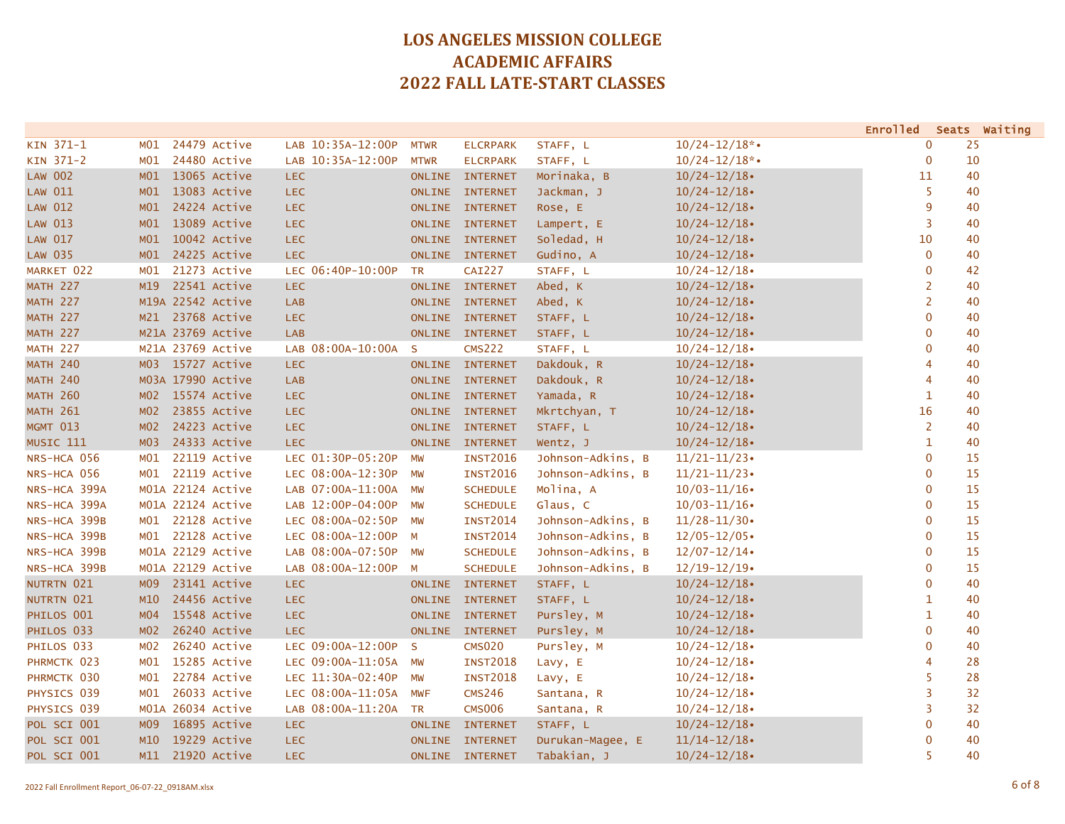|                 |                 |                   |                      |              |                 |                   |                    | Enrolled Seats Waiting |    |
|-----------------|-----------------|-------------------|----------------------|--------------|-----------------|-------------------|--------------------|------------------------|----|
| KIN 371-1       | MO1             | 24479 Active      | LAB 10:35A-12:00P    | <b>MTWR</b>  | <b>ELCRPARK</b> | STAFF, L          | $10/24 - 12/18$ *• | 0                      | 25 |
| KIN 371-2       | MO1             | 24480 Active      | LAB 10:35A-12:00P    | <b>MTWR</b>  | <b>ELCRPARK</b> | STAFF, L          | $10/24 - 12/18$ *• | $\mathbf 0$            | 10 |
| <b>LAW 002</b>  | M01             | 13065 Active      | <b>LEC</b>           |              | ONLINE INTERNET | Morinaka, B       | $10/24 - 12/18$    | 11                     | 40 |
| LAW 011         | M01             | 13083 Active      | <b>LEC</b>           |              | ONLINE INTERNET | Jackman, J        | $10/24 - 12/18$    | 5                      | 40 |
| <b>LAW 012</b>  | M01             | 24224 Active      | <b>LEC</b>           |              | ONLINE INTERNET | Rose, E           | $10/24 - 12/18$    | 9                      | 40 |
| LAW 013         | M01             | 13089 Active      | <b>LEC</b>           |              | ONLINE INTERNET | Lampert, E        | $10/24 - 12/18$    | 3                      | 40 |
| LAW 017         | M <sub>01</sub> | 10042 Active      | <b>LEC</b>           |              | ONLINE INTERNET | Soledad, H        | $10/24 - 12/18$    | 10                     | 40 |
| <b>LAW 035</b>  | M01             | 24225 Active      | LEC.                 |              | ONLINE INTERNET | Gudino, A         | $10/24 - 12/18$    | $\mathbf 0$            | 40 |
| MARKET 022      | MO1             | 21273 Active      | LEC 06:40P-10:00P    | <b>TR</b>    | <b>CAI227</b>   | STAFF, L          | $10/24 - 12/18$    | $\mathbf 0$            | 42 |
| <b>MATH 227</b> | M19             | 22541 Active      | <b>LEC</b>           |              | ONLINE INTERNET | Abed, K           | $10/24 - 12/18$    | 2                      | 40 |
| <b>MATH 227</b> |                 | M19A 22542 Active | <b>LAB</b>           |              | ONLINE INTERNET | Abed, K           | $10/24 - 12/18$    | $\overline{2}$         | 40 |
| <b>MATH 227</b> | M21             | 23768 Active      | <b>LEC</b>           |              | ONLINE INTERNET | STAFF, L          | $10/24 - 12/18$    | $\mathbf 0$            | 40 |
| <b>MATH 227</b> |                 | M21A 23769 Active | LAB                  |              | ONLINE INTERNET | STAFF, L          | $10/24 - 12/18$    | 0                      | 40 |
| <b>MATH 227</b> |                 | M21A 23769 Active | LAB 08:00A-10:00A    | <sub>S</sub> | <b>CMS222</b>   | STAFF, L          | $10/24 - 12/18$    | $\mathbf{0}$           | 40 |
| <b>MATH 240</b> |                 | M03 15727 Active  | <b>LEC</b>           |              | ONLINE INTERNET | Dakdouk, R        | $10/24 - 12/18$    | 4                      | 40 |
| <b>MATH 240</b> |                 | M03A 17990 Active | <b>LAB</b>           |              | ONLINE INTERNET | Dakdouk, R        | $10/24 - 12/18$    | 4                      | 40 |
| <b>MATH 260</b> | MO2             | 15574 Active      | <b>LEC</b>           |              | ONLINE INTERNET | Yamada, R         | $10/24 - 12/18$    | $\mathbf{1}$           | 40 |
| <b>MATH 261</b> | M <sub>02</sub> | 23855 Active      | <b>LEC</b>           |              | ONLINE INTERNET | Mkrtchyan, T      | $10/24 - 12/18$    | 16                     | 40 |
| <b>MGMT 013</b> | MO2             | 24223 Active      | <b>LEC</b>           |              | ONLINE INTERNET | STAFF, L          | $10/24 - 12/18$    | $\overline{2}$         | 40 |
| MUSIC 111       | MO3             | 24333 Active      | <b>LEC</b>           |              | ONLINE INTERNET | Wentz, J          | $10/24 - 12/18$    | 1                      | 40 |
| NRS-HCA 056     | M01             | 22119 Active      | LEC 01:30P-05:20P    | <b>MW</b>    | <b>INST2016</b> | Johnson-Adkins, B | $11/21 - 11/23$    | $\mathbf 0$            | 15 |
| NRS-HCA 056     | MO1             | 22119 Active      | LEC 08:00A-12:30P    | <b>MW</b>    | <b>INST2016</b> | Johnson-Adkins, B | $11/21 - 11/23$    | $\mathbf{0}$           | 15 |
| NRS-HCA 399A    |                 | M01A 22124 Active | LAB 07:00A-11:00A    | <b>MW</b>    | <b>SCHEDULE</b> | Molina, A         | $10/03 - 11/16$    | $\mathbf{0}$           | 15 |
| NRS-HCA 399A    |                 | M01A 22124 Active | LAB 12:00P-04:00P    | <b>MW</b>    | <b>SCHEDULE</b> | Glaus, C          | $10/03 - 11/16$    | $\mathbf{0}$           | 15 |
| NRS-HCA 399B    | MO1             | 22128 Active      | LEC 08:00A-02:50P    | <b>MW</b>    | <b>INST2014</b> | Johnson-Adkins, B | $11/28 - 11/30$    | $\mathbf 0$            | 15 |
| NRS-HCA 399B    | MO1             | 22128 Active      | LEC 08:00A-12:00P    | M            | <b>INST2014</b> | Johnson-Adkins, B | $12/05 - 12/05$    | $\mathbf 0$            | 15 |
| NRS-HCA 399B    |                 | M01A 22129 Active | LAB 08:00A-07:50P    | <b>MW</b>    | <b>SCHEDULE</b> | Johnson-Adkins, B | $12/07 - 12/14$    | $\mathbf 0$            | 15 |
| NRS-HCA 399B    |                 | M01A 22129 Active | LAB 08:00A-12:00P    | M            | <b>SCHEDULE</b> | Johnson-Adkins, B | $12/19 - 12/19$    | $\mathbf{0}$           | 15 |
| NUTRTN 021      | M09             | 23141 Active      | <b>LEC</b>           |              | ONLINE INTERNET | STAFF, L          | $10/24 - 12/18$    | $\mathbf{0}$           | 40 |
| NUTRTN 021      | M10             | 24456 Active      | <b>LEC</b>           |              | ONLINE INTERNET | STAFF, L          | $10/24 - 12/18$    | $\mathbf{1}$           | 40 |
| PHILOS 001      | MO4             | 15548 Active      | <b>LEC</b>           |              | ONLINE INTERNET | Pursley, M        | $10/24 - 12/18$    | $\mathbf{1}$           | 40 |
| PHILOS 033      | M <sub>02</sub> | 26240 Active      | <b>LEC</b>           |              | ONLINE INTERNET | Pursley, M        | $10/24 - 12/18$    | $\mathbf 0$            | 40 |
| PHILOS 033      | MO <sub>2</sub> | 26240 Active      | LEC 09:00A-12:00P    | $\mathsf{S}$ | <b>CMS020</b>   | Pursley, M        | $10/24 - 12/18$    | $\overline{0}$         | 40 |
| PHRMCTK 023     | MO1             | 15285 Active      | LEC 09:00A-11:05A MW |              | <b>INST2018</b> | Lavy, E           | $10/24 - 12/18$    | 4                      | 28 |
| PHRMCTK 030     | MO1             | 22784 Active      | LEC 11:30A-02:40P    | <b>MW</b>    | <b>INST2018</b> | Lavy, E           | $10/24 - 12/18$    | 5                      | 28 |
| PHYSICS 039     | MO1             | 26033 Active      | LEC 08:00A-11:05A    | <b>MWF</b>   | <b>CMS246</b>   | Santana, R        | $10/24 - 12/18$    | 3                      | 32 |
| PHYSICS 039     | MO1A            | 26034 Active      | LAB 08:00A-11:20A    | <b>TR</b>    | <b>CMS006</b>   | Santana, R        | $10/24 - 12/18$    | 3                      | 32 |
| POL SCI 001     | M <sub>09</sub> | 16895 Active      | <b>LEC</b>           | ONLINE       | <b>INTERNET</b> | STAFF, L          | $10/24 - 12/18$    | $\overline{0}$         | 40 |
| POL SCI 001     | M10             | 19229 Active      | <b>LEC</b>           |              | ONLINE INTERNET | Durukan-Magee, E  | $11/14 - 12/18$    | $\mathbf 0$            | 40 |
| POL SCI 001     |                 | M11 21920 Active  | <b>LEC</b>           |              | ONLINE INTERNET | Tabakian, J       | $10/24 - 12/18$    | 5                      | 40 |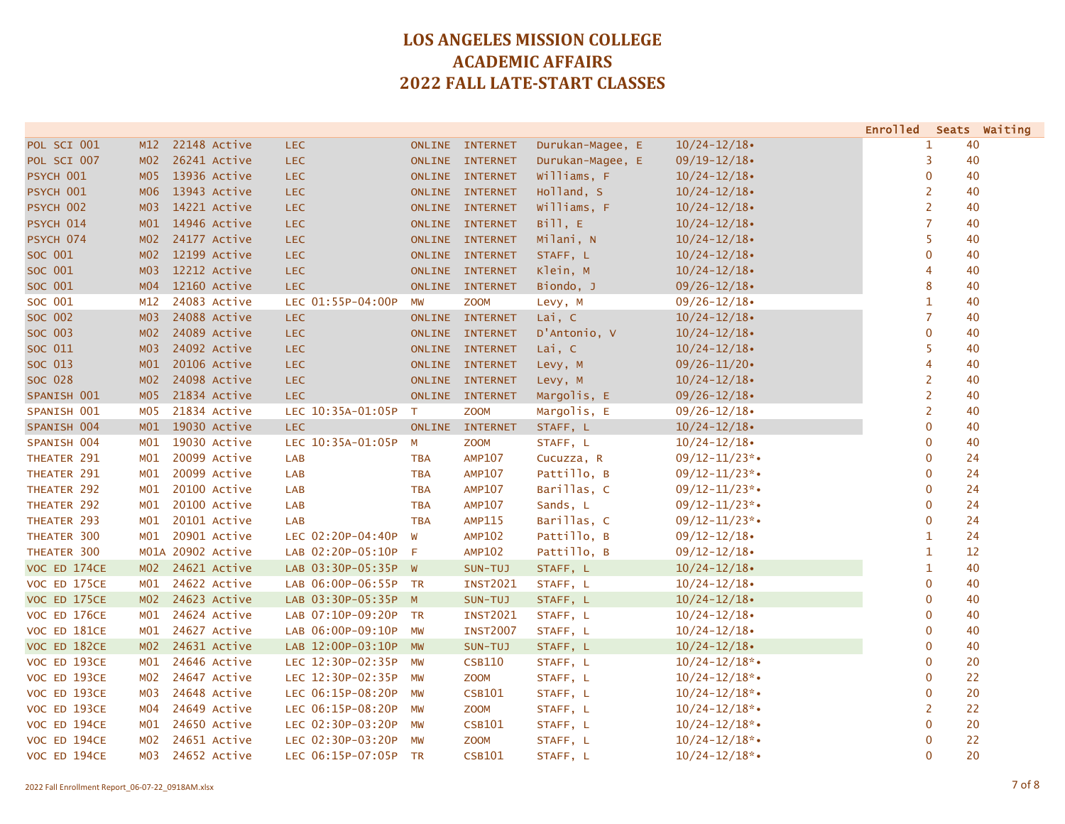|              |                  |                   |                      |               |                 |                  |                    | Enrolled Seats Waiting |                |    |
|--------------|------------------|-------------------|----------------------|---------------|-----------------|------------------|--------------------|------------------------|----------------|----|
| POL SCI 001  | M12              | 22148 Active      | <b>LEC</b>           |               | ONLINE INTERNET | Durukan-Magee, E | $10/24 - 12/18$    |                        | 1              | 40 |
| POL SCI 007  | MO2              | 26241 Active      | <b>LEC</b>           |               | ONLINE INTERNET | Durukan-Magee, E | $09/19 - 12/18$    |                        | 3              | 40 |
| PSYCH 001    | MO5              | 13936 Active      | <b>LEC</b>           |               | ONLINE INTERNET | Williams, F      | $10/24 - 12/18$    |                        | 0              | 40 |
| PSYCH 001    | M06              | 13943 Active      | <b>LEC</b>           |               | ONLINE INTERNET | Holland, S       | $10/24 - 12/18$    |                        | 2              | 40 |
| PSYCH 002    | M <sub>03</sub>  | 14221 Active      | <b>LEC</b>           |               | ONLINE INTERNET | Williams, F      | $10/24 - 12/18$    |                        | $\overline{2}$ | 40 |
| PSYCH 014    | M01              | 14946 Active      | <b>LEC</b>           |               | ONLINE INTERNET | Bill, E          | $10/24 - 12/18$    |                        | $\overline{7}$ | 40 |
| PSYCH 074    | MO2              | 24177 Active      | <b>LEC</b>           |               | ONLINE INTERNET | Milani, N        | $10/24 - 12/18$    |                        | 5              | 40 |
| SOC 001      | MO2              | 12199 Active      | <b>LEC</b>           |               | ONLINE INTERNET | STAFF, L         | $10/24 - 12/18$    |                        | $\mathbf{0}$   | 40 |
| SOC 001      | MO3              | 12212 Active      | <b>LEC</b>           |               | ONLINE INTERNET | Klein, M         | $10/24 - 12/18$    |                        | 4              | 40 |
| SOC 001      | MO4              | 12160 Active      | <b>LEC</b>           |               | ONLINE INTERNET | Biondo, J        | $09/26 - 12/18$    |                        | 8              | 40 |
| SOC 001      | M12              | 24083 Active      | LEC 01:55P-04:00P    | MW            | <b>ZOOM</b>     | Levy, M          | $09/26 - 12/18$    |                        | $\mathbf{1}$   | 40 |
| SOC 002      | M <sub>0</sub> 3 | 24088 Active      | <b>LEC</b>           |               | ONLINE INTERNET | Lai, C           | $10/24 - 12/18$    |                        | $\overline{7}$ | 40 |
| SOC 003      | MO2              | 24089 Active      | <b>LEC</b>           |               | ONLINE INTERNET | D'Antonio, V     | $10/24 - 12/18$    |                        | $\mathbf 0$    | 40 |
| SOC 011      | M <sub>03</sub>  | 24092 Active      | <b>LEC</b>           |               | ONLINE INTERNET | Lai, C           | $10/24 - 12/18$    |                        | 5              | 40 |
| SOC 013      | M <sub>01</sub>  | 20106 Active      | <b>LEC</b>           |               | ONLINE INTERNET | Levy, M          | $09/26 - 11/20$    |                        | 4              | 40 |
| SOC 028      | MO2              | 24098 Active      | <b>LEC</b>           |               | ONLINE INTERNET | Levy, M          | $10/24 - 12/18$    |                        | $\overline{2}$ | 40 |
| SPANISH 001  | MO <sub>5</sub>  | 21834 Active      | <b>LEC</b>           |               | ONLINE INTERNET | Margolis, E      | $09/26 - 12/18$    |                        | $\overline{2}$ | 40 |
| SPANISH 001  | MO5              | 21834 Active      | LEC 10:35A-01:05P    | T             | <b>ZOOM</b>     | Margolis, E      | $09/26 - 12/18$    |                        | $\overline{2}$ | 40 |
| SPANISH 004  | M <sub>01</sub>  | 19030 Active      | <b>LEC</b>           | <b>ONLINE</b> | <b>INTERNET</b> | STAFF, L         | $10/24 - 12/18$    |                        | $\mathbf{0}$   | 40 |
| SPANISH 004  | MO1              | 19030 Active      | LEC 10:35A-01:05P    | M             | <b>ZOOM</b>     | STAFF, L         | $10/24 - 12/18$    |                        | $\mathbf 0$    | 40 |
| THEATER 291  | MO1              | 20099 Active      | <b>LAB</b>           | <b>TBA</b>    | <b>AMP107</b>   | Cucuzza, R       | $09/12 - 11/23$ *• |                        | $\mathbf 0$    | 24 |
| THEATER 291  | M <sub>01</sub>  | 20099 Active      | LAB                  | <b>TBA</b>    | <b>AMP107</b>   | Pattillo, B      | $09/12 - 11/23$ *• |                        | 0              | 24 |
| THEATER 292  | MO1              | 20100 Active      | <b>LAB</b>           | <b>TBA</b>    | <b>AMP107</b>   | Barillas, C      | $09/12 - 11/23$ *• |                        | $\mathbf 0$    | 24 |
| THEATER 292  | MO1              | 20100 Active      | <b>LAB</b>           | <b>TBA</b>    | <b>AMP107</b>   | Sands, L         | $09/12 - 11/23$ *• |                        | $\mathbf 0$    | 24 |
| THEATER 293  | MO1              | 20101 Active      | LAB                  | <b>TBA</b>    | <b>AMP115</b>   | Barillas, C      | $09/12 - 11/23$ *• |                        | $\mathbf 0$    | 24 |
| THEATER 300  | MO1              | 20901 Active      | LEC 02:20P-04:40P    | W             | <b>AMP102</b>   | Pattillo, B      | $09/12 - 12/18$    |                        | 1              | 24 |
| THEATER 300  |                  | M01A 20902 Active | LAB 02:20P-05:10P    | - F           | <b>AMP102</b>   | Pattillo, B      | $09/12 - 12/18$    |                        | 1              | 12 |
| VOC ED 174CE | MO <sub>2</sub>  | 24621 Active      | LAB 03:30P-05:35P W  |               | SUN-TUJ         | STAFF, L         | $10/24 - 12/18$    |                        | 1              | 40 |
| VOC ED 175CE | MO1              | 24622 Active      | LAB 06:00P-06:55P TR |               | <b>INST2021</b> | STAFF, L         | $10/24 - 12/18$    |                        | $\mathbf 0$    | 40 |
| VOC ED 175CE | MO2              | 24623 Active      | LAB 03:30P-05:35P M  |               | SUN-TUJ         | STAFF, L         | $10/24 - 12/18$    |                        | $\overline{0}$ | 40 |
| VOC ED 176CE | MO1              | 24624 Active      | LAB 07:10P-09:20P TR |               | <b>INST2021</b> | STAFF, L         | $10/24 - 12/18$    |                        | $\mathbf 0$    | 40 |
| VOC ED 181CE | MO1              | 24627 Active      | LAB 06:00P-09:10P    | <b>MW</b>     | <b>INST2007</b> | STAFF, L         | $10/24 - 12/18$    |                        | $\mathbf 0$    | 40 |
| VOC ED 182CE | MO2              | 24631 Active      | LAB 12:00P-03:10P    | <b>MW</b>     | SUN-TUJ         | STAFF, L         | $10/24 - 12/18$    |                        | $\overline{0}$ | 40 |
| VOC ED 193CE | MO1              | 24646 Active      | LEC 12:30P-02:35P    | <b>MW</b>     | <b>CSB110</b>   | STAFF, L         | $10/24 - 12/18$ *• |                        | $\mathbf 0$    | 20 |
| VOC ED 193CE | MO2              | 24647 Active      | LEC 12:30P-02:35P    | <b>MW</b>     | <b>ZOOM</b>     | STAFF, L         | $10/24 - 12/18$ *  |                        | 0              | 22 |
| VOC ED 193CE | M03              | 24648 Active      | LEC 06:15P-08:20P    | MW            | <b>CSB101</b>   | STAFF, L         | $10/24 - 12/18$ *• |                        | $\mathbf{0}$   | 20 |
| VOC ED 193CE | MO4              | 24649 Active      | LEC 06:15P-08:20P    | MW            | <b>ZOOM</b>     | STAFF, L         | $10/24 - 12/18$ *• |                        | 2              | 22 |
| VOC ED 194CE | MO1              | 24650 Active      | LEC 02:30P-03:20P    | MW            | <b>CSB101</b>   | STAFF, L         | $10/24 - 12/18$ *• |                        | $\mathbf 0$    | 20 |
| VOC ED 194CE | MO2              | 24651 Active      | LEC 02:30P-03:20P    | MW            | <b>ZOOM</b>     | STAFF, L         | $10/24 - 12/18$ *• |                        | $\mathbf 0$    | 22 |
| VOC ED 194CE | MO3              | 24652 Active      | LEC 06:15P-07:05P TR |               | <b>CSB101</b>   | STAFF, L         | $10/24 - 12/18$ *• |                        | $\Omega$       | 20 |
|              |                  |                   |                      |               |                 |                  |                    |                        |                |    |